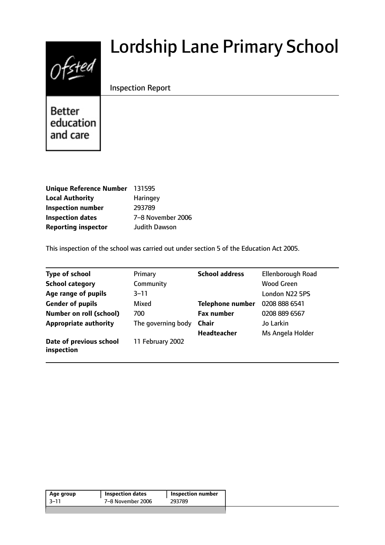# $0$ fsted

# Lordship Lane Primary School

# Inspection Report

**Better** education and care

| Unique Reference Number 131595 |                      |
|--------------------------------|----------------------|
| <b>Local Authority</b>         | <b>Haringey</b>      |
| <b>Inspection number</b>       | 293789               |
| <b>Inspection dates</b>        | 7-8 November 2006    |
| <b>Reporting inspector</b>     | <b>Judith Dawson</b> |

This inspection of the school was carried out under section 5 of the Education Act 2005.

| <b>Type of school</b>                 | Primary            | <b>School address</b>   | Ellenborough Road |
|---------------------------------------|--------------------|-------------------------|-------------------|
| <b>School category</b>                | Community          |                         | <b>Wood Green</b> |
| Age range of pupils                   | $3 - 11$           |                         | London N22 5PS    |
| <b>Gender of pupils</b>               | Mixed              | <b>Telephone number</b> | 0208 888 6541     |
| <b>Number on roll (school)</b>        | 700                | <b>Fax number</b>       | 0208 889 6567     |
| <b>Appropriate authority</b>          | The governing body | <b>Chair</b>            | Jo Larkin         |
|                                       |                    | <b>Headteacher</b>      | Ms Angela Holder  |
| Date of previous school<br>inspection | 11 February 2002   |                         |                   |

|                           |        | <b>Inspection dates</b><br>Age group |  |
|---------------------------|--------|--------------------------------------|--|
| 7-8 November 2006<br>3–11 | 293789 |                                      |  |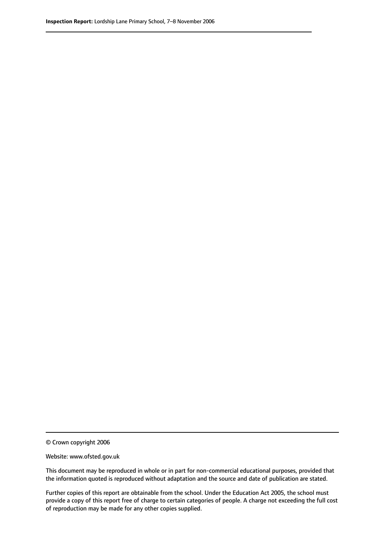© Crown copyright 2006

Website: www.ofsted.gov.uk

This document may be reproduced in whole or in part for non-commercial educational purposes, provided that the information quoted is reproduced without adaptation and the source and date of publication are stated.

Further copies of this report are obtainable from the school. Under the Education Act 2005, the school must provide a copy of this report free of charge to certain categories of people. A charge not exceeding the full cost of reproduction may be made for any other copies supplied.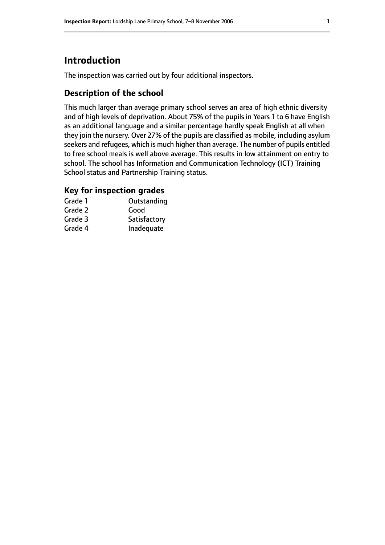# **Introduction**

The inspection was carried out by four additional inspectors.

## **Description of the school**

This much larger than average primary school serves an area of high ethnic diversity and of high levels of deprivation. About 75% of the pupils in Years 1 to 6 have English as an additional language and a similar percentage hardly speak English at all when they join the nursery. Over 27% of the pupils are classified as mobile, including asylum seekers and refugees, which is much higher than average. The number of pupils entitled to free school meals is well above average. This results in low attainment on entry to school. The school has Information and Communication Technology (ICT) Training School status and Partnership Training status.

### **Key for inspection grades**

| Grade 1 | Outstanding  |
|---------|--------------|
| Grade 2 | Good         |
| Grade 3 | Satisfactory |
| Grade 4 | Inadequate   |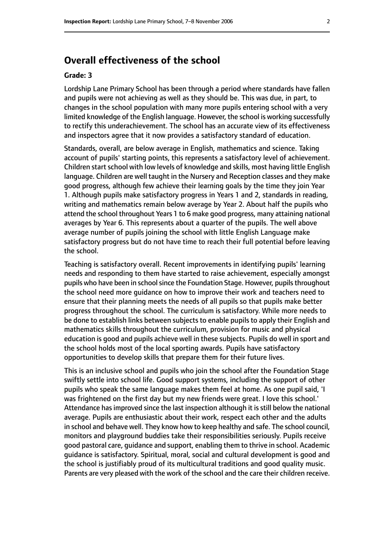# **Overall effectiveness of the school**

#### **Grade: 3**

Lordship Lane Primary School has been through a period where standards have fallen and pupils were not achieving as well as they should be. This was due, in part, to changes in the school population with many more pupils entering school with a very limited knowledge of the English language. However, the school is working successfully to rectify this underachievement. The school has an accurate view of its effectiveness and inspectors agree that it now provides a satisfactory standard of education.

Standards, overall, are below average in English, mathematics and science. Taking account of pupils' starting points, this represents a satisfactory level of achievement. Children start school with low levels of knowledge and skills, most having little English language. Children are well taught in the Nursery and Reception classes and they make good progress, although few achieve their learning goals by the time they join Year 1. Although pupils make satisfactory progress in Years 1 and 2, standards in reading, writing and mathematics remain below average by Year 2. About half the pupils who attend the school throughout Years 1 to 6 make good progress, many attaining national averages by Year 6. This represents about a quarter of the pupils. The well above average number of pupils joining the school with little English Language make satisfactory progress but do not have time to reach their full potential before leaving the school.

Teaching is satisfactory overall. Recent improvements in identifying pupils' learning needs and responding to them have started to raise achievement, especially amongst pupils who have been in school since the Foundation Stage. However, pupils throughout the school need more guidance on how to improve their work and teachers need to ensure that their planning meets the needs of all pupils so that pupils make better progress throughout the school. The curriculum is satisfactory. While more needs to be done to establish links between subjects to enable pupils to apply their English and mathematics skills throughout the curriculum, provision for music and physical education is good and pupils achieve well in these subjects. Pupils do well in sport and the school holds most of the local sporting awards. Pupils have satisfactory opportunities to develop skills that prepare them for their future lives.

This is an inclusive school and pupils who join the school after the Foundation Stage swiftly settle into school life. Good support systems, including the support of other pupils who speak the same language makes them feel at home. As one pupil said, 'I was frightened on the first day but my new friends were great. I love this school.' Attendance has improved since the last inspection although it is still below the national average. Pupils are enthusiastic about their work, respect each other and the adults in school and behave well. They know how to keep healthy and safe. The school council, monitors and playground buddies take their responsibilities seriously. Pupils receive good pastoral care, guidance and support, enabling them to thrive in school. Academic guidance is satisfactory. Spiritual, moral, social and cultural development is good and the school is justifiably proud of its multicultural traditions and good quality music. Parents are very pleased with the work of the school and the care their children receive.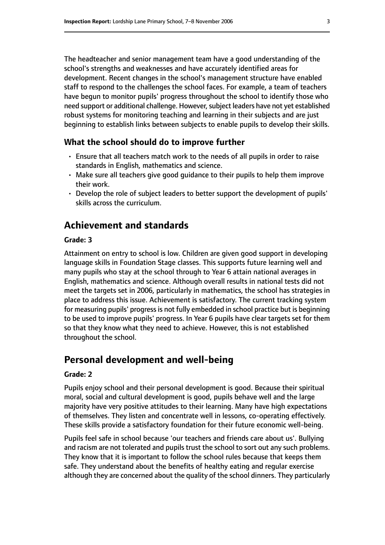The headteacher and senior management team have a good understanding of the school's strengths and weaknesses and have accurately identified areas for development. Recent changes in the school's management structure have enabled staff to respond to the challenges the school faces. For example, a team of teachers have begun to monitor pupils' progress throughout the school to identify those who need support or additional challenge. However, subject leaders have not yet established robust systems for monitoring teaching and learning in their subjects and are just beginning to establish links between subjects to enable pupils to develop their skills.

#### **What the school should do to improve further**

- Ensure that all teachers match work to the needs of all pupils in order to raise standards in English, mathematics and science.
- Make sure all teachers give good guidance to their pupils to help them improve their work.
- Develop the role of subject leaders to better support the development of pupils' skills across the curriculum.

# **Achievement and standards**

#### **Grade: 3**

Attainment on entry to school is low. Children are given good support in developing language skills in Foundation Stage classes. This supports future learning well and many pupils who stay at the school through to Year 6 attain national averages in English, mathematics and science. Although overall results in national tests did not meet the targets set in 2006, particularly in mathematics, the school has strategies in place to address this issue. Achievement is satisfactory. The current tracking system for measuring pupils' progress is not fully embedded in school practice but is beginning to be used to improve pupils' progress. In Year 6 pupils have clear targets set for them so that they know what they need to achieve. However, this is not established throughout the school.

# **Personal development and well-being**

#### **Grade: 2**

Pupils enjoy school and their personal development is good. Because their spiritual moral, social and cultural development is good, pupils behave well and the large majority have very positive attitudes to their learning. Many have high expectations of themselves. They listen and concentrate well in lessons, co-operating effectively. These skills provide a satisfactory foundation for their future economic well-being.

Pupils feel safe in school because 'our teachers and friends care about us'. Bullying and racism are not tolerated and pupils trust the school to sort out any such problems. They know that it is important to follow the school rules because that keeps them safe. They understand about the benefits of healthy eating and regular exercise although they are concerned about the quality of the school dinners. They particularly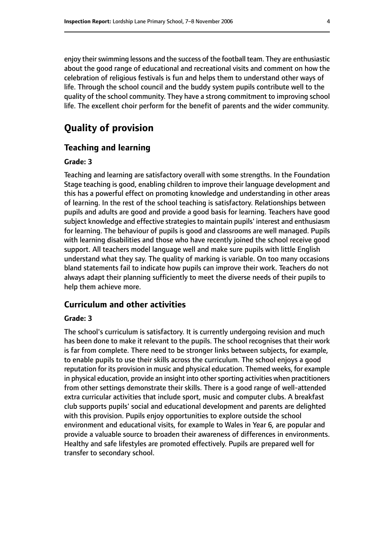enjoy their swimming lessons and the success of the football team. They are enthusiastic about the good range of educational and recreational visits and comment on how the celebration of religious festivals is fun and helps them to understand other ways of life. Through the school council and the buddy system pupils contribute well to the quality of the school community. They have a strong commitment to improving school life. The excellent choir perform for the benefit of parents and the wider community.

# **Quality of provision**

#### **Teaching and learning**

#### **Grade: 3**

Teaching and learning are satisfactory overall with some strengths. In the Foundation Stage teaching is good, enabling children to improve their language development and this has a powerful effect on promoting knowledge and understanding in other areas of learning. In the rest of the school teaching is satisfactory. Relationships between pupils and adults are good and provide a good basis for learning. Teachers have good subject knowledge and effective strategies to maintain pupils' interest and enthusiasm for learning. The behaviour of pupils is good and classrooms are well managed. Pupils with learning disabilities and those who have recently joined the school receive good support. All teachers model language well and make sure pupils with little English understand what they say. The quality of marking is variable. On too many occasions bland statements fail to indicate how pupils can improve their work. Teachers do not always adapt their planning sufficiently to meet the diverse needs of their pupils to help them achieve more.

#### **Curriculum and other activities**

#### **Grade: 3**

The school's curriculum is satisfactory. It is currently undergoing revision and much has been done to make it relevant to the pupils. The school recognises that their work is far from complete. There need to be stronger links between subjects, for example, to enable pupils to use their skills across the curriculum. The school enjoys a good reputation for its provision in music and physical education. Themed weeks, for example in physical education, provide an insight into other sporting activities when practitioners from other settings demonstrate their skills. There is a good range of well-attended extra curricular activities that include sport, music and computer clubs. A breakfast club supports pupils' social and educational development and parents are delighted with this provision. Pupils enjoy opportunities to explore outside the school environment and educational visits, for example to Wales in Year 6, are popular and provide a valuable source to broaden their awareness of differences in environments. Healthy and safe lifestyles are promoted effectively. Pupils are prepared well for transfer to secondary school.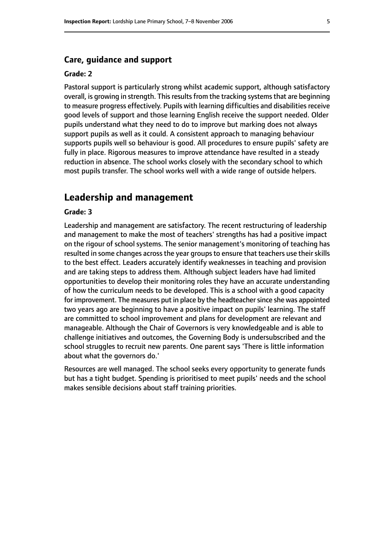#### **Care, guidance and support**

#### **Grade: 2**

Pastoral support is particularly strong whilst academic support, although satisfactory overall, is growing in strength. This results from the tracking systems that are beginning to measure progress effectively. Pupils with learning difficulties and disabilities receive good levels of support and those learning English receive the support needed. Older pupils understand what they need to do to improve but marking does not always support pupils as well as it could. A consistent approach to managing behaviour supports pupils well so behaviour is good. All procedures to ensure pupils' safety are fully in place. Rigorous measures to improve attendance have resulted in a steady reduction in absence. The school works closely with the secondary school to which most pupils transfer. The school works well with a wide range of outside helpers.

# **Leadership and management**

#### **Grade: 3**

Leadership and management are satisfactory. The recent restructuring of leadership and management to make the most of teachers' strengths has had a positive impact on the rigour of school systems. The senior management's monitoring of teaching has resulted in some changes across the year groups to ensure that teachers use their skills to the best effect. Leaders accurately identify weaknesses in teaching and provision and are taking steps to address them. Although subject leaders have had limited opportunities to develop their monitoring roles they have an accurate understanding of how the curriculum needs to be developed. This is a school with a good capacity for improvement. The measures put in place by the headteacher since she was appointed two years ago are beginning to have a positive impact on pupils' learning. The staff are committed to school improvement and plans for development are relevant and manageable. Although the Chair of Governors is very knowledgeable and is able to challenge initiatives and outcomes, the Governing Body is undersubscribed and the school struggles to recruit new parents. One parent says 'There is little information about what the governors do.'

Resources are well managed. The school seeks every opportunity to generate funds but has a tight budget. Spending is prioritised to meet pupils' needs and the school makes sensible decisions about staff training priorities.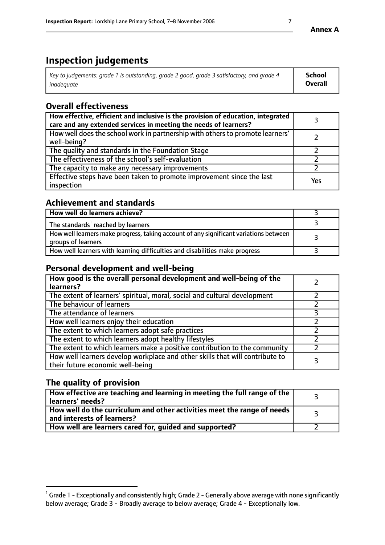# **Inspection judgements**

| Key to judgements: grade 1 is outstanding, grade 2 good, grade 3 satisfactory, and grade 4 | <b>School</b>  |
|--------------------------------------------------------------------------------------------|----------------|
| inadeauate                                                                                 | <b>Overall</b> |

# **Overall effectiveness**

| How effective, efficient and inclusive is the provision of education, integrated<br>care and any extended services in meeting the needs of learners? |     |
|------------------------------------------------------------------------------------------------------------------------------------------------------|-----|
| How well does the school work in partnership with others to promote learners'<br>well-being?                                                         |     |
| The quality and standards in the Foundation Stage                                                                                                    |     |
| The effectiveness of the school's self-evaluation                                                                                                    |     |
| The capacity to make any necessary improvements                                                                                                      |     |
| Effective steps have been taken to promote improvement since the last<br>inspection                                                                  | Yes |

# **Achievement and standards**

| How well do learners achieve?                                                                               |  |
|-------------------------------------------------------------------------------------------------------------|--|
| The standards <sup>1</sup> reached by learners                                                              |  |
| How well learners make progress, taking account of any significant variations between<br>groups of learners |  |
| How well learners with learning difficulties and disabilities make progress                                 |  |

# **Personal development and well-being**

| How good is the overall personal development and well-being of the<br>learners?                                  |  |
|------------------------------------------------------------------------------------------------------------------|--|
| The extent of learners' spiritual, moral, social and cultural development                                        |  |
| The behaviour of learners                                                                                        |  |
| The attendance of learners                                                                                       |  |
| How well learners enjoy their education                                                                          |  |
| The extent to which learners adopt safe practices                                                                |  |
| The extent to which learners adopt healthy lifestyles                                                            |  |
| The extent to which learners make a positive contribution to the community                                       |  |
| How well learners develop workplace and other skills that will contribute to<br>their future economic well-being |  |

# **The quality of provision**

| $\Box$ How effective are teaching and learning in meeting the full range of the $\Box$<br>  learners' needs?        |  |
|---------------------------------------------------------------------------------------------------------------------|--|
| $\mid$ How well do the curriculum and other activities meet the range of needs<br>$\mid$ and interests of learners? |  |
| How well are learners cared for, guided and supported?                                                              |  |

 $^1$  Grade 1 - Exceptionally and consistently high; Grade 2 - Generally above average with none significantly below average; Grade 3 - Broadly average to below average; Grade 4 - Exceptionally low.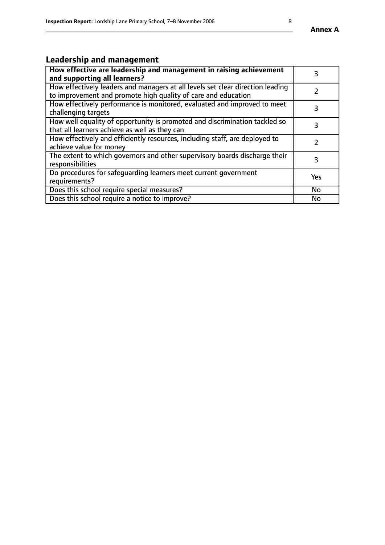# **Leadership and management**

| How effective are leadership and management in raising achievement<br>and supporting all learners?                                              |               |
|-------------------------------------------------------------------------------------------------------------------------------------------------|---------------|
| How effectively leaders and managers at all levels set clear direction leading<br>to improvement and promote high quality of care and education |               |
| How effectively performance is monitored, evaluated and improved to meet<br>challenging targets                                                 | 3             |
| How well equality of opportunity is promoted and discrimination tackled so<br>that all learners achieve as well as they can                     | 3             |
| How effectively and efficiently resources, including staff, are deployed to<br>achieve value for money                                          | $\mathcal{P}$ |
| The extent to which governors and other supervisory boards discharge their<br>responsibilities                                                  | 3             |
| Do procedures for safequarding learners meet current government<br>requirements?                                                                | Yes           |
| Does this school require special measures?                                                                                                      | No            |
| Does this school require a notice to improve?                                                                                                   | <b>No</b>     |